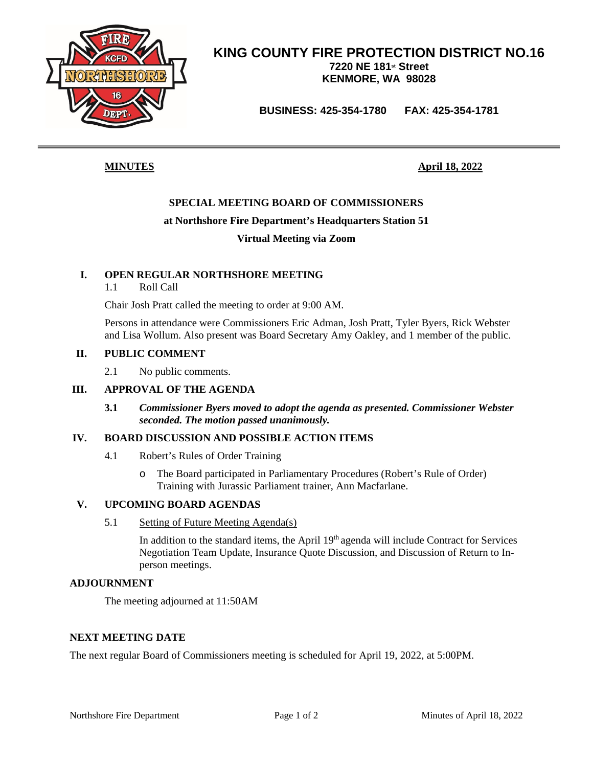

### **KING COUNTY FIRE PROTECTION DISTRICT NO.16 7220 NE 181st Street KENMORE, WA 98028**

**BUSINESS: 425-354-1780 FAX: 425-354-1781**

**MINUTES April 18, 2022**

### **SPECIAL MEETING BOARD OF COMMISSIONERS**

### **at Northshore Fire Department's Headquarters Station 51**

### **Virtual Meeting via Zoom**

### **I. OPEN REGULAR NORTHSHORE MEETING**

1.1 Roll Call

Chair Josh Pratt called the meeting to order at 9:00 AM.

Persons in attendance were Commissioners Eric Adman, Josh Pratt, Tyler Byers, Rick Webster and Lisa Wollum. Also present was Board Secretary Amy Oakley, and 1 member of the public.

### **II. PUBLIC COMMENT**

2.1 No public comments.

### **III. APPROVAL OF THE AGENDA**

**3.1** *Commissioner Byers moved to adopt the agenda as presented. Commissioner Webster seconded. The motion passed unanimously.*

#### **IV. BOARD DISCUSSION AND POSSIBLE ACTION ITEMS**

- 4.1 Robert's Rules of Order Training
	- o The Board participated in Parliamentary Procedures (Robert's Rule of Order) Training with Jurassic Parliament trainer, Ann Macfarlane.

### **V. UPCOMING BOARD AGENDAS**

5.1 Setting of Future Meeting Agenda(s)

In addition to the standard items, the April  $19<sup>th</sup>$  agenda will include Contract for Services Negotiation Team Update, Insurance Quote Discussion, and Discussion of Return to Inperson meetings.

### **ADJOURNMENT**

The meeting adjourned at 11:50AM

### **NEXT MEETING DATE**

The next regular Board of Commissioners meeting is scheduled for April 19, 2022, at 5:00PM.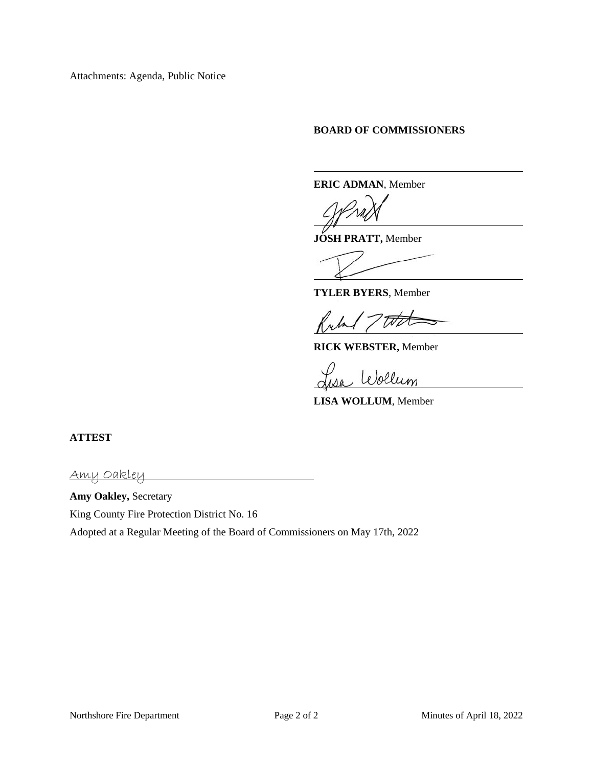Attachments: Agenda, Public Notice

#### **BOARD OF COMMISSIONERS**

**ERIC ADMAN**, Member

**JOSH PRATT,** Member

**TYLER BYERS**, Member

tvt  $\overline{\lambda}$ 

**RICK WEBSTER,** Member

Wollum

**LISA WOLLUM**, Member

**ATTEST**

Amy Oakley

**Amy Oakley,** Secretary

King County Fire Protection District No. 16

Adopted at a Regular Meeting of the Board of Commissioners on May 17th, 2022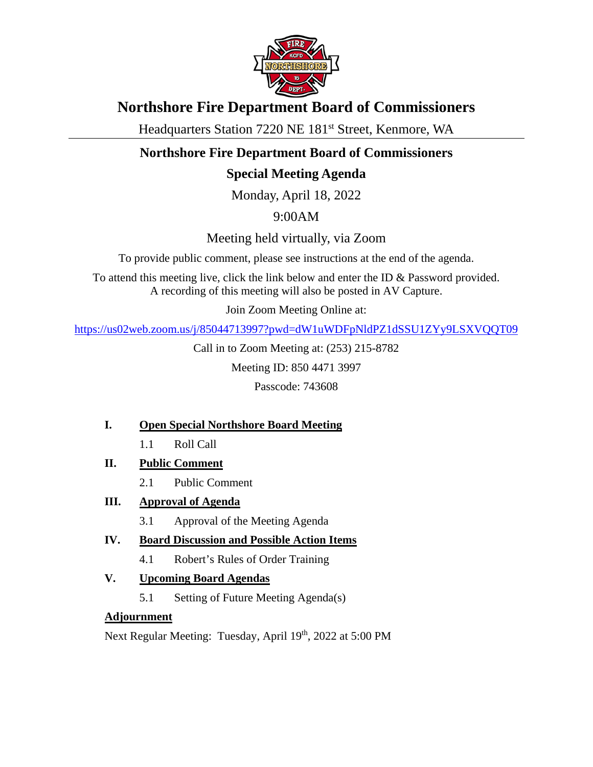

## **Northshore Fire Department Board of Commissioners**

Headquarters Station 7220 NE 181<sup>st</sup> Street, Kenmore, WA

## **Northshore Fire Department Board of Commissioners**

## **Special Meeting Agenda**

Monday, April 18, 2022

## 9:00AM

Meeting held virtually, via Zoom

To provide public comment, please see instructions at the end of the agenda.

To attend this meeting live, click the link below and enter the ID & Password provided. A recording of this meeting will also be posted in AV Capture.

Join Zoom Meeting Online at:

<https://us02web.zoom.us/j/85044713997?pwd=dW1uWDFpNldPZ1dSSU1ZYy9LSXVQQT09>

Call in to Zoom Meeting at: (253) 215-8782 Meeting ID: 850 4471 3997

Passcode: 743608

## **I. Open Special Northshore Board Meeting**

- 1.1 Roll Call
- **II. Public Comment**
	- 2.1 Public Comment
- **III. Approval of Agenda**
	- 3.1 Approval of the Meeting Agenda

### **IV. Board Discussion and Possible Action Items**

4.1 Robert's Rules of Order Training

### **V. Upcoming Board Agendas**

5.1 Setting of Future Meeting Agenda(s)

### **Adjournment**

Next Regular Meeting: Tuesday, April 19th, 2022 at 5:00 PM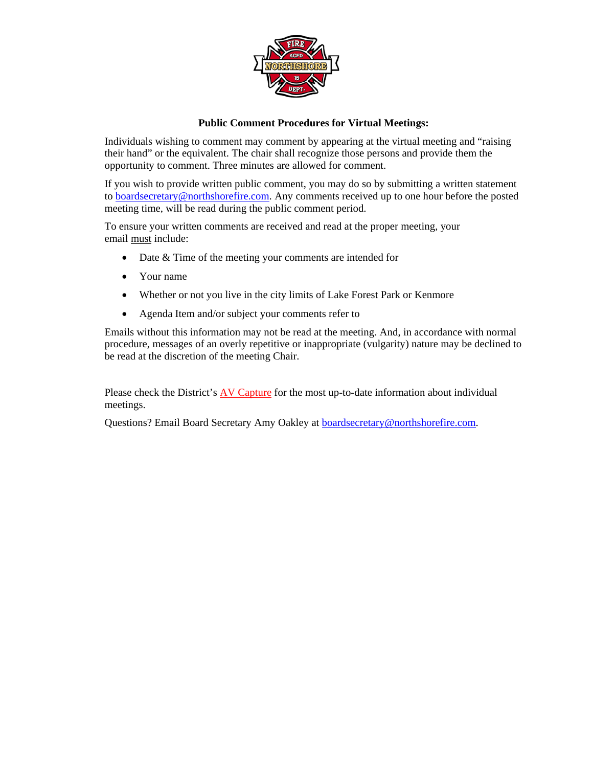

### **Public Comment Procedures for Virtual Meetings:**

Individuals wishing to comment may comment by appearing at the virtual meeting and "raising their hand" or the equivalent. The chair shall recognize those persons and provide them the opportunity to comment. Three minutes are allowed for comment.

If you wish to provide written public comment, you may do so by submitting a written statement to [boardsecretary@northshorefire.com.](mailto:boardsecretary@northshorefire.com) Any comments received up to one hour before the posted meeting time, will be read during the public comment period.

To ensure your written comments are received and read at the proper meeting, your email must include:

- Date & Time of the meeting your comments are intended for
- Your name
- Whether or not you live in the city limits of Lake Forest Park or Kenmore
- Agenda Item and/or subject your comments refer to

Emails without this information may not be read at the meeting. And, in accordance with normal procedure, messages of an overly repetitive or inappropriate (vulgarity) nature may be declined to be read at the discretion of the meeting Chair.

Please check the District's  $AV$  Capture for the most up-to-date information about individual meetings.

Questions? Email Board Secretary Amy Oakley at **[boardsecretary@northshorefire.com.](mailto:boardsecretary@northshorefire.com)**